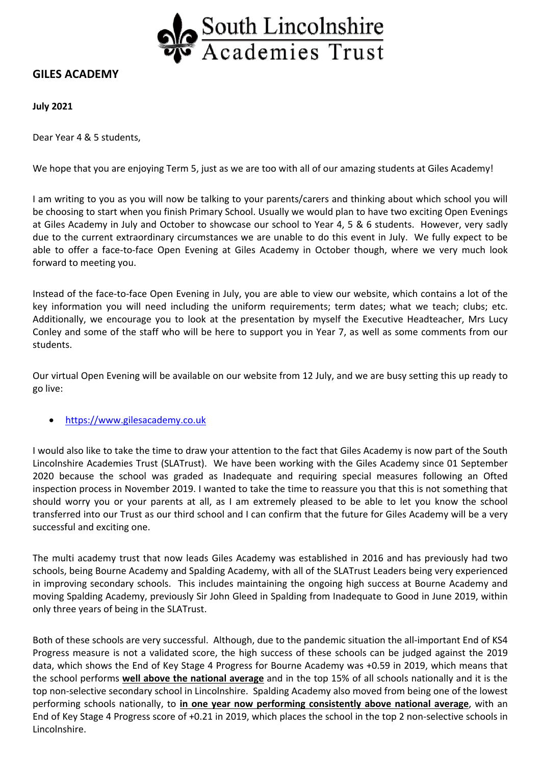

## **GILES ACADEMY**

**July 2021** 

Dear Year 4 & 5 students,

We hope that you are enjoying Term 5, just as we are too with all of our amazing students at Giles Academy!

I am writing to you as you will now be talking to your parents/carers and thinking about which school you will be choosing to start when you finish Primary School. Usually we would plan to have two exciting Open Evenings at Giles Academy in July and October to showcase our school to Year 4, 5 & 6 students. However, very sadly due to the current extraordinary circumstances we are unable to do this event in July. We fully expect to be able to offer a face-to-face Open Evening at Giles Academy in October though, where we very much look forward to meeting you.

Instead of the face‐to‐face Open Evening in July, you are able to view our website, which contains a lot of the key information you will need including the uniform requirements; term dates; what we teach; clubs; etc. Additionally, we encourage you to look at the presentation by myself the Executive Headteacher, Mrs Lucy Conley and some of the staff who will be here to support you in Year 7, as well as some comments from our students.

Our virtual Open Evening will be available on our website from 12 July, and we are busy setting this up ready to go live:

https://www.gilesacademy.co.uk

I would also like to take the time to draw your attention to the fact that Giles Academy is now part of the South Lincolnshire Academies Trust (SLATrust). We have been working with the Giles Academy since 01 September 2020 because the school was graded as Inadequate and requiring special measures following an Ofted inspection process in November 2019. I wanted to take the time to reassure you that this is not something that should worry you or your parents at all, as I am extremely pleased to be able to let you know the school transferred into our Trust as our third school and I can confirm that the future for Giles Academy will be a very successful and exciting one.

The multi academy trust that now leads Giles Academy was established in 2016 and has previously had two schools, being Bourne Academy and Spalding Academy, with all of the SLATrust Leaders being very experienced in improving secondary schools. This includes maintaining the ongoing high success at Bourne Academy and moving Spalding Academy, previously Sir John Gleed in Spalding from Inadequate to Good in June 2019, within only three years of being in the SLATrust.

Both of these schools are very successful. Although, due to the pandemic situation the all-important End of KS4 Progress measure is not a validated score, the high success of these schools can be judged against the 2019 data, which shows the End of Key Stage 4 Progress for Bourne Academy was +0.59 in 2019, which means that the school performs **well above the national average** and in the top 15% of all schools nationally and it is the top non‐selective secondary school in Lincolnshire. Spalding Academy also moved from being one of the lowest performing schools nationally, to **in one year now performing consistently above national average**, with an End of Key Stage 4 Progress score of +0.21 in 2019, which places the school in the top 2 non-selective schools in Lincolnshire.